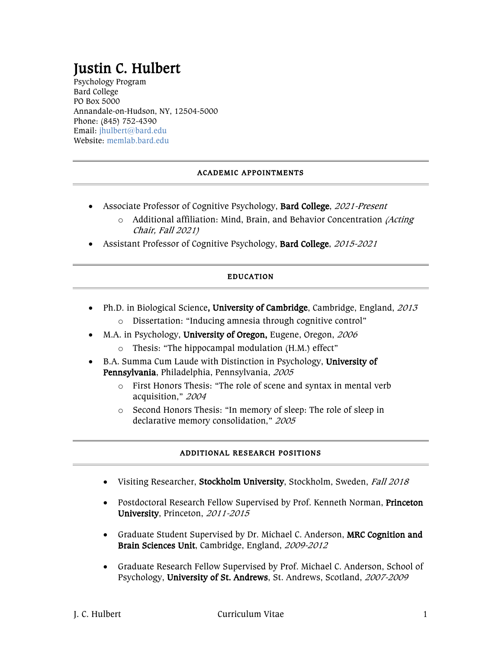# Justin C. Hulbert<br>Psychology Program

Bard College PO Box 5000 Annandale-on-Hudson, NY, 12504-5000 Phone: (845) 752-4390 Email: jhulbert@bard.edu Website: memlab.bard.edu

# ACADEMIC APPOINTMENTS

- Associate Professor of Cognitive Psychology, Bard College, 2021-Present
	- o Additional affiliation: Mind, Brain, and Behavior Concentration (Acting Chair, Fall 2021)
- Assistant Professor of Cognitive Psychology, Bard College, 2015-2021

#### EDUCATION

- Ph.D. in Biological Science, University of Cambridge, Cambridge, England, 2013
	- o Dissertation: "Inducing amnesia through cognitive control"
- M.A. in Psychology, University of Oregon, Eugene, Oregon, 2006
	- o Thesis: "The hippocampal modulation (H.M.) effect"
- B.A. Summa Cum Laude with Distinction in Psychology, University of Pennsylvania, Philadelphia, Pennsylvania, <sup>2005</sup>
	- o First Honors Thesis: "The role of scene and syntax in mental verb acquisition," <sup>2004</sup>
	- o Second Honors Thesis: "In memory of sleep: The role of sleep in declarative memory consolidation," <sup>2005</sup>

#### ADDITIONAL RESEARCH POSITIONS

- Visiting Researcher, Stockholm University, Stockholm, Sweden, Fall 2018
- Postdoctoral Research Fellow Supervised by Prof. Kenneth Norman, Princeton University, Princeton, 2011-2015
- Graduate Student Supervised by Dr. Michael C. Anderson, MRC Cognition and Brain Sciences Unit, Cambridge, England, 2009-2012
- Graduate Research Fellow Supervised by Prof. Michael C. Anderson, School of Psychology, University of St. Andrews, St. Andrews, Scotland, 2007-2009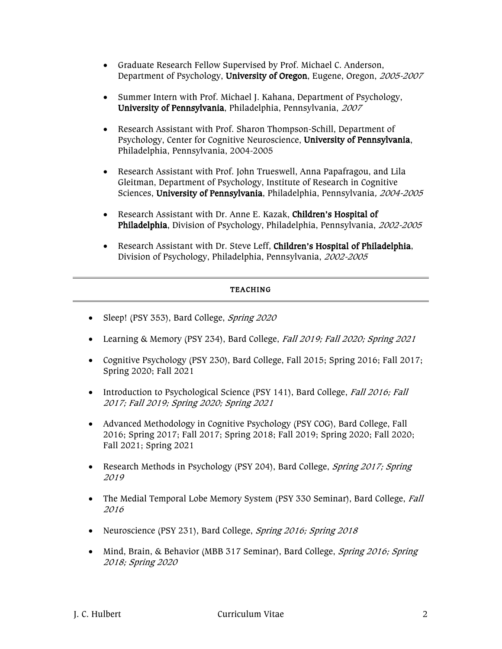- Graduate Research Fellow Supervised by Prof. Michael C. Anderson, Department of Psychology, University of Oregon, Eugene, Oregon, 2005-2007
- Summer Intern with Prof. Michael J. Kahana, Department of Psychology, University of Pennsylvania, Philadelphia, Pennsylvania, <sup>2007</sup>
- Research Assistant with Prof. Sharon Thompson-Schill, Department of Psychology, Center for Cognitive Neuroscience, University of Pennsylvania, Philadelphia, Pennsylvania, 2004-2005
- Research Assistant with Prof. John Trueswell, Anna Papafragou, and Lila Gleitman, Department of Psychology, Institute of Research in Cognitive Sciences, University of Pennsylvania, Philadelphia, Pennsylvania, 2004-2005
- Research Assistant with Dr. Anne E. Kazak, Children's Hospital of Philadelphia, Division of Psychology, Philadelphia, Pennsylvania, 2002-2005
- Research Assistant with Dr. Steve Leff, Children's Hospital of Philadelphia, Division of Psychology, Philadelphia, Pennsylvania, 2002-2005

# TEACHING

- Sleep! (PSY 353), Bard College, *Spring 2020*
- Learning & Memory (PSY 234), Bard College, *Fall 2019; Fall 2020; Spring 2021*
- Cognitive Psychology (PSY 230), Bard College, Fall 2015; Spring 2016; Fall 2017; Spring 2020; Fall 2021
- Introduction to Psychological Science (PSY 141), Bard College, Fall 2016; Fall 2017; Fall 2019; Spring 2020; Spring 2021
- Advanced Methodology in Cognitive Psychology (PSY COG), Bard College, Fall 2016; Spring 2017; Fall 2017; Spring 2018; Fall 2019; Spring 2020; Fall 2020; Fall 2021; Spring 2021
- Research Methods in Psychology (PSY 204), Bard College, Spring 2017; Spring 2019
- The Medial Temporal Lobe Memory System (PSY 330 Seminar), Bard College, Fall 2016
- Neuroscience (PSY 231), Bard College, Spring 2016; Spring 2018
- Mind, Brain, & Behavior (MBB 317 Seminar), Bard College, Spring 2016; Spring 2018; Spring 2020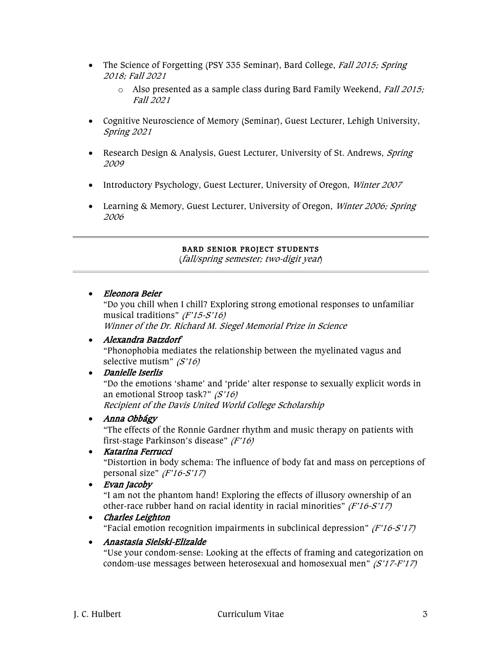- The Science of Forgetting (PSY 335 Seminar), Bard College, Fall 2015; Spring 2018; Fall 2021
	- $\circ$  Also presented as a sample class during Bard Family Weekend, *Fall 2015;* Fall 2021
- Cognitive Neuroscience of Memory (Seminar), Guest Lecturer, Lehigh University, Spring 2021
- Research Design & Analysis, Guest Lecturer, University of St. Andrews, Spring 2009
- Introductory Psychology, Guest Lecturer, University of Oregon, Winter 2007
- Learning & Memory, Guest Lecturer, University of Oregon, Winter 2006; Spring 2006

#### BARD SENIOR PROJECT STUDENTS

(fall/spring semester; two-digit year)

• Eleonora Beier

"Do you chill when I chill? Exploring strong emotional responses to unfamiliar musical traditions" (F'15-S'16)

Winner of the Dr. Richard M. Siegel Memorial Prize in Science

# • Alexandra Batzdorf

"Phonophobia mediates the relationship between the myelinated vagus and selective mutism" (S'16)

# • Danielle Iserlis

"Do the emotions 'shame' and 'pride' alter response to sexually explicit words in an emotional Stroop task?" (S'16) Recipient of the Davis United World College Scholarship

# • Anna Obbágy

"The effects of the Ronnie Gardner rhythm and music therapy on patients with first-stage Parkinson's disease" (F'16)

#### • Katarina Ferrucci

"Distortion in body schema: The influence of body fat and mass on perceptions of personal size" (F'16-S'17)

• Evan Jacoby

"I am not the phantom hand! Exploring the effects of illusory ownership of an other-race rubber hand on racial identity in racial minorities"  $(F'16-5'17)$ 

#### • Charles Leighton

"Facial emotion recognition impairments in subclinical depression"  $(F'16-S'17)$ 

# • Anastasia Sielski-Elizalde

"Use your condom-sense: Looking at the effects of framing and categorization on condom-use messages between heterosexual and homosexual men"  $(S'17-F'17)$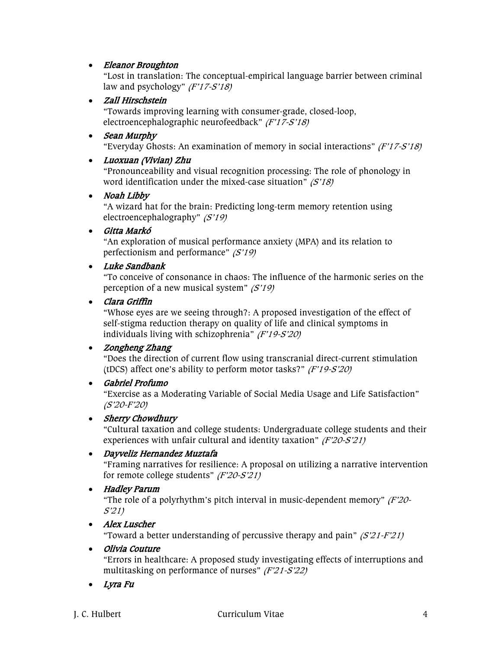# • Eleanor Broughton

"Lost in translation: The conceptual-empirical language barrier between criminal law and psychology"  $(F'17-S'18)$ 

# • Zall Hirschstein

"Towards improving learning with consumer-grade, closed-loop, electroencephalographic neurofeedback" (F'17-S'18)

# • Sean Murphy

"Everyday Ghosts: An examination of memory in social interactions"  $(F'17-S'18)$ 

# • Luoxuan (Vivian) Zhu

"Pronounceability and visual recognition processing: The role of phonology in word identification under the mixed-case situation"  $(S'18)$ 

#### • Noah Libby

"A wizard hat for the brain: Predicting long-term memory retention using electroencephalography" (S'19)

# • Gitta Markó

"An exploration of musical performance anxiety (MPA) and its relation to perfectionism and performance"  $(S'19)$ 

# • Luke Sandbank

"To conceive of consonance in chaos: The influence of the harmonic series on the perception of a new musical system" (S'19)

# • Clara Griffin

"Whose eyes are we seeing through?: A proposed investigation of the effect of self-stigma reduction therapy on quality of life and clinical symptoms in individuals living with schizophrenia" (F'19-S'20)

# • Zongheng Zhang

"Does the direction of current flow using transcranial direct-current stimulation (tDCS) affect one's ability to perform motor tasks?"  $(F'19-S'20)$ 

# • Gabriel Profumo

"Exercise as a Moderating Variable of Social Media Usage and Life Satisfaction" (S'20-F'20)

# • Sherry Chowdhury

"Cultural taxation and college students: Undergraduate college students and their experiences with unfair cultural and identity taxation" (F'20-S'21)

# • Dayveliz Hernandez Muztafa

"Framing narratives for resilience: A proposal on utilizing a narrative intervention for remote college students" (F'20-S'21)

# • Hadley Parum

"The role of a polyrhythm's pitch interval in music-dependent memory"  $(F2O -$ S'21)

# • Alex Luscher

"Toward a better understanding of percussive therapy and pain"  $(S'21-F'21)$ 

#### • Olivia Couture

"Errors in healthcare: A proposed study investigating effects of interruptions and multitasking on performance of nurses" (F'21-S'22)

• Lyra Fu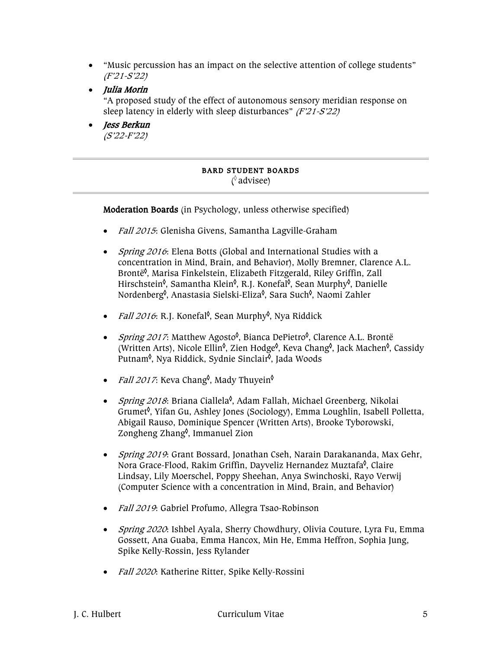- "Music percussion has an impact on the selective attention of college students" (F'21-S'22)
- Julia Morin

"A proposed study of the effect of autonomous sensory meridian response on sleep latency in elderly with sleep disturbances" (F'21-S'22)

• Jess Berkun (S'22-F'22)

# BARD STUDENT BOARDS ( ◊ advisee)

Moderation Boards (in Psychology, unless otherwise specified)

- Fall 2015: Glenisha Givens, Samantha Lagville-Graham
- *Spring 2016*: Elena Botts (Global and International Studies with a concentration in Mind, Brain, and Behavior), Molly Bremner, Clarence A.L. Brontë◊ , Marisa Finkelstein, Elizabeth Fitzgerald, Riley Griffin, Zall Hirschstein<sup>≬</sup>, Samantha Kleinº́, R.J. Konefalº́, Sean Murphyº́, Danielle Nordenberg<sup>≬</sup>, Anastasia Sielski-Eliza<sup>≬</sup>, Sara Such<sup>≬</sup>, Naomi Zahler
- *Fall 2016*: R.J. Konefal<sup>≬</sup>, Sean Murphy<sup>≬</sup>, Nya Riddick
- *Spring 2017*: Matthew Agosto<sup>()</sup>, Bianca DePietro<sup>()</sup>, Clarence A.L. Brontë (Written Arts), Nicole Ellin<sup>6</sup>, Zien Hodge<sup>6</sup>, Keva Chang<sup>6</sup>, Jack Machen<sup>6</sup>, Cassidy Putnam<sup>≬</sup>, Nya Riddick, Sydnie Sinclair<sup>≬</sup>, Jada Woods
- *Fall 2017*: Keva Chang<sup>≬</sup>, Mady Thuyein<sup>≬</sup>
- *Spring 2018*: Briana Ciallela<sup>6</sup>, Adam Fallah, Michael Greenberg, Nikolai Grumet◊ , Yifan Gu, Ashley Jones (Sociology), Emma Loughlin, Isabell Polletta, Abigail Rauso, Dominique Spencer (Written Arts), Brooke Tyborowski, Zongheng Zhang◊ , Immanuel Zion
- *Spring 2019*: Grant Bossard, Jonathan Cseh, Narain Darakananda, Max Gehr, Nora Grace-Flood, Rakim Griffin, Dayveliz Hernandez Muztafa<sup>≬</sup>, Claire Lindsay, Lily Moerschel, Poppy Sheehan, Anya Swinchoski, Rayo Verwij (Computer Science with a concentration in Mind, Brain, and Behavior)
- *Fall 2019*: Gabriel Profumo, Allegra Tsao-Robinson
- *Spring 2020*: Ishbel Ayala, Sherry Chowdhury, Olivia Couture, Lyra Fu, Emma Gossett, Ana Guaba, Emma Hancox, Min He, Emma Heffron, Sophia Jung, Spike Kelly-Rossin, Jess Rylander
- Fall 2020: Katherine Ritter, Spike Kelly-Rossini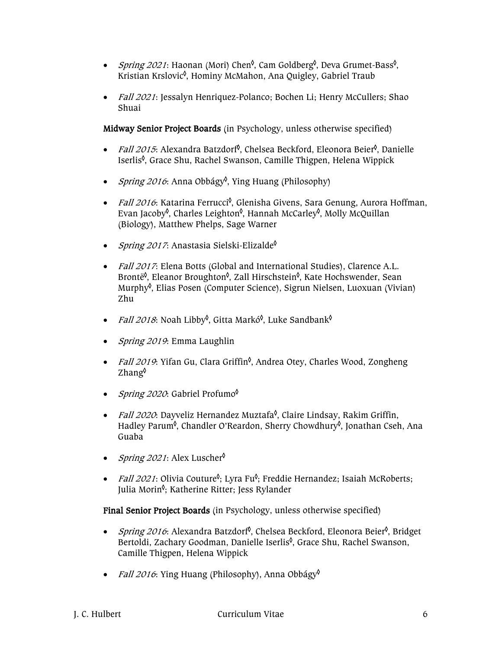- *Spring 2021*: Haonan (Mori) Chen<sup>0</sup>, Cam Goldberg<sup>0</sup>, Deva Grumet-Bass<sup>0</sup>, Kristian Krslovic<sup>0</sup>, Hominy McMahon, Ana Quigley, Gabriel Traub
- Fall 2021: Jessalyn Henriquez-Polanco; Bochen Li; Henry McCullers; Shao Shuai

Midway Senior Project Boards (in Psychology, unless otherwise specified)

- *Fall 2015*: Alexandra Batzdorf<sup>0</sup>, Chelsea Beckford, Eleonora Beier<sup>0</sup>, Danielle Iserlis◊ , Grace Shu, Rachel Swanson, Camille Thigpen, Helena Wippick
- *Spring 2016*: Anna Obbágy<sup>\$</sup>, Ying Huang (Philosophy)
- *Fall 2016*: Katarina Ferrucci<sup>≬</sup>, Glenisha Givens, Sara Genung, Aurora Hoffman, Evan Jacoby<sup>ộ</sup>, Charles Leighton<sup>ộ</sup>, Hannah McCarley<sup>ộ</sup>, Molly McQuillan (Biology), Matthew Phelps, Sage Warner
- *Spring 2017*: Anastasia Sielski-Elizalde<sup> $\lozenge$ </sup>
- Fall 2017: Elena Botts (Global and International Studies), Clarence A.L. Brontë<sup>≬</sup>, Eleanor Broughton<sup>≬</sup>, Zall Hirschstein<sup>≬</sup>, Kate Hochswender, Sean Murphy◊ , Elias Posen (Computer Science), Sigrun Nielsen, Luoxuan (Vivian) Zhu
- *Fall 2018*: Noah Libby<sup>≬</sup>, Gitta Markó<sup>≬</sup>, Luke Sandbank<sup>≬</sup>
- Spring 2019: Emma Laughlin
- Fall 2019: Yifan Gu, Clara Griffin<sup>0</sup>, Andrea Otey, Charles Wood, Zongheng Zhang◊
- Spring 2020: Gabriel Profumo
- *Fall 2020*: Dayveliz Hernandez Muztafa<sup>§</sup>, Claire Lindsay, Rakim Griffin, Hadley Parum<sup>≬</sup>, Chandler O'Reardon, Sherry Chowdhury<sup>≬</sup>, Jonathan Cseh, Ana Guaba
- *Spring 2021*: Alex Luscher<sup> $\lozenge$ </sup>
- *Fall 2021*: Olivia Couture<sup> $\phi$ </sup>; Lyra Fu<sup> $\phi$ </sup>; Freddie Hernandez; Isaiah McRoberts; Julia Morin<sup>≬</sup>; Katherine Ritter; Jess Rylander

Final Senior Project Boards (in Psychology, unless otherwise specified)

- *Spring 2016*: Alexandra Batzdorf<sup>0</sup>, Chelsea Beckford, Eleonora Beier<sup>0</sup>, Bridget Bertoldi, Zachary Goodman, Danielle Iserlis<sup>≬</sup>, Grace Shu, Rachel Swanson, Camille Thigpen, Helena Wippick
- *Fall 2016*: Ying Huang (Philosophy), Anna Obbágy<sup> $\phi$ </sup>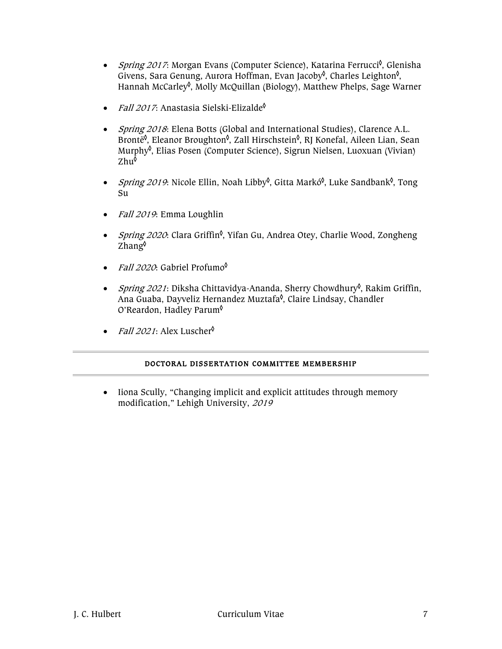- *Spring 2017*: Morgan Evans (Computer Science), Katarina Ferrucci<sup>6</sup>, Glenisha Givens, Sara Genung, Aurora Hoffman, Evan Jacoby<sup>≬</sup>, Charles Leighton<sup>≬</sup>, Hannah McCarley◊ , Molly McQuillan (Biology), Matthew Phelps, Sage Warner
- *Fall 2017*: Anastasia Sielski-Elizalde<sup> $\lozenge$ </sup>
- Spring 2018: Elena Botts (Global and International Studies), Clarence A.L. Brontë<sup>≬</sup>, Eleanor Broughton<sup>≬</sup>, Zall Hirschstein<sup>≬</sup>, RJ Konefal, Aileen Lian, Sean Murphy◊ , Elias Posen (Computer Science), Sigrun Nielsen, Luoxuan (Vivian) Zhu<sup>ộ</sup>
- *Spring 2019*: Nicole Ellin, Noah Libby<sup>0</sup>, Gitta Markó<sup>0</sup>, Luke Sandbank<sup>0</sup>, Tong Su
- Fall 2019: Emma Loughlin
- *Spring 2020*: Clara Griffin<sup>≬</sup>, Yifan Gu, Andrea Otey, Charlie Wood, Zongheng Zhang◊
- *Fall 2020*: Gabriel Profumo $\phi$
- *Spring 2021*: Diksha Chittavidya-Ananda, Sherry Chowdhury<sup>≬</sup>, Rakim Griffin, Ana Guaba, Dayveliz Hernandez Muztafa<sup>≬</sup>, Claire Lindsay, Chandler O'Reardon, Hadley Parum◊
- *Fall 2021*: Alex Luscher<sup> $\lozenge$ </sup>

# DOCTORAL DISSERTATION COMMITTEE MEMBERSHIP

• Iiona Scully, "Changing implicit and explicit attitudes through memory modification," Lehigh University, <sup>2019</sup>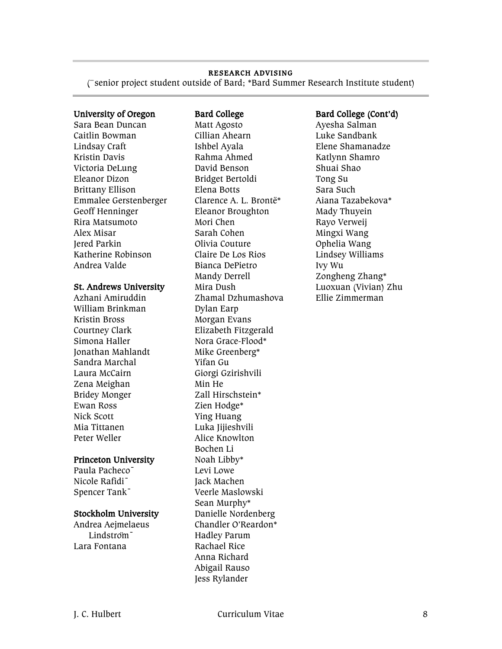#### RESEARCH ADVISING

(**¯**senior project student outside of Bard; \*Bard Summer Research Institute student)

Sara Bean Duncan Caitlin Bowman Lindsay Craft Kristin Davis Victoria DeLung Eleanor Dizon Brittany Ellison Emmalee Gerstenberger Geoff Henninger Rira Matsumoto Alex Misar Jered Parkin Katherine Robinson Andrea Valde

#### St. Andrews University

Azhani Amiruddin William Brinkman Kristin Bross Courtney Clark Simona Haller Jonathan Mahlandt Sandra Marchal Laura McCairn Zena Meighan Bridey Monger Ewan Ross Nick Scott Mia Tittanen Peter Weller

#### Princeton University

Paula Pacheco¯ Nicole Rafidi¯ Spencer Tank¯

#### Stockholm University

Andrea Aejmelaeus Lindstroʻm<sup>-</sup> Lara Fontana

Matt Agosto Cillian Ahearn Ishbel Ayala Rahma Ahmed David Benson Bridget Bertoldi Elena Botts Clarence A. L. Brontë\* Eleanor Broughton Mori Chen Sarah Cohen Olivia Couture Claire De Los Rios Bianca DePietro Mandy Derrell Mira Dush Zhamal Dzhumashova Dylan Earp Morgan Evans Elizabeth Fitzgerald Nora Grace-Flood\* Mike Greenberg\* Yifan Gu Giorgi Gzirishvili Min He Zall Hirschstein\* Zien Hodge\* Ying Huang Luka Jijieshvili Alice Knowlton Bochen Li Noah Libby\* Levi Lowe Jack Machen Veerle Maslowski Sean Murphy\* Danielle Nordenberg Chandler O'Reardon\* Hadley Parum Rachael Rice Anna Richard Abigail Rauso Jess Rylander

#### University of Oregon Bard College Bard College (Cont'd)

Ayesha Salman Luke Sandbank Elene Shamanadze Katlynn Shamro Shuai Shao Tong Su Sara Such Aiana Tazabekova\* Mady Thuyein Rayo Verweij Mingxi Wang Ophelia Wang Lindsey Williams Ivy Wu Zongheng Zhang\* Luoxuan (Vivian) Zhu Ellie Zimmerman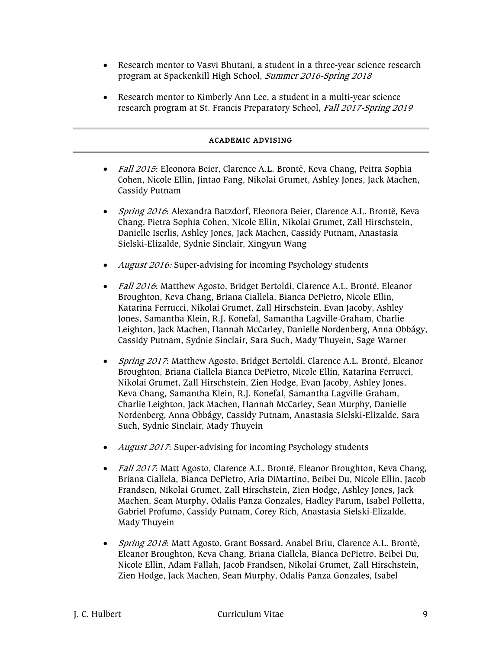- Research mentor to Vasvi Bhutani, a student in a three-year science research program at Spackenkill High School, Summer 2016-Spring 2018
- Research mentor to Kimberly Ann Lee, a student in a multi-year science research program at St. Francis Preparatory School, Fall 2017-Spring 2019

#### ACADEMIC ADVISING

- Fall 2015: Eleonora Beier, Clarence A.L. Brontë, Keva Chang, Peitra Sophia Cohen, Nicole Ellin, Jintao Fang, Nikolai Grumet, Ashley Jones, Jack Machen, Cassidy Putnam
- Spring 2016: Alexandra Batzdorf, Eleonora Beier, Clarence A.L. Brontë, Keva Chang, Pietra Sophia Cohen, Nicole Ellin, Nikolai Grumet, Zall Hirschstein, Danielle Iserlis, Ashley Jones, Jack Machen, Cassidy Putnam, Anastasia Sielski-Elizalde, Sydnie Sinclair, Xingyun Wang
- August 2016: Super-advising for incoming Psychology students
- Fall 2016: Matthew Agosto, Bridget Bertoldi, Clarence A.L. Brontë, Eleanor Broughton, Keva Chang, Briana Ciallela, Bianca DePietro, Nicole Ellin, Katarina Ferrucci, Nikolai Grumet, Zall Hirschstein, Evan Jacoby, Ashley Jones, Samantha Klein, R.J. Konefal, Samantha Lagville-Graham, Charlie Leighton, Jack Machen, Hannah McCarley, Danielle Nordenberg, Anna Obbágy, Cassidy Putnam, Sydnie Sinclair, Sara Such, Mady Thuyein, Sage Warner
- Spring 2017: Matthew Agosto, Bridget Bertoldi, Clarence A.L. Brontë, Eleanor Broughton, Briana Ciallela Bianca DePietro, Nicole Ellin, Katarina Ferrucci, Nikolai Grumet, Zall Hirschstein, Zien Hodge, Evan Jacoby, Ashley Jones, Keva Chang, Samantha Klein, R.J. Konefal, Samantha Lagville-Graham, Charlie Leighton, Jack Machen, Hannah McCarley, Sean Murphy, Danielle Nordenberg, Anna Obbágy, Cassidy Putnam, Anastasia Sielski-Elizalde, Sara Such, Sydnie Sinclair, Mady Thuyein
- *August 2017*: Super-advising for incoming Psychology students
- Fall 2017: Matt Agosto, Clarence A.L. Brontë, Eleanor Broughton, Keva Chang, Briana Ciallela, Bianca DePietro, Aria DiMartino, Beibei Du, Nicole Ellin, Jacob Frandsen, Nikolai Grumet, Zall Hirschstein, Zien Hodge, Ashley Jones, Jack Machen, Sean Murphy, Odalis Panza Gonzales, Hadley Parum, Isabel Polletta, Gabriel Profumo, Cassidy Putnam, Corey Rich, Anastasia Sielski-Elizalde, Mady Thuyein
- Spring 2018: Matt Agosto, Grant Bossard, Anabel Briu, Clarence A.L. Brontë, Eleanor Broughton, Keva Chang, Briana Ciallela, Bianca DePietro, Beibei Du, Nicole Ellin, Adam Fallah, Jacob Frandsen, Nikolai Grumet, Zall Hirschstein, Zien Hodge, Jack Machen, Sean Murphy, Odalis Panza Gonzales, Isabel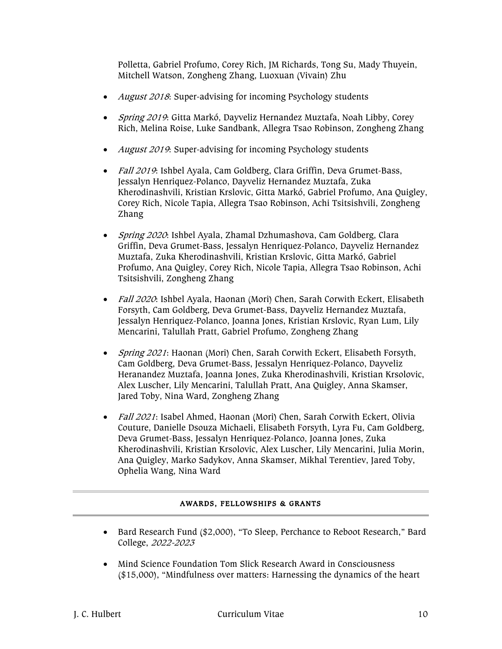Polletta, Gabriel Profumo, Corey Rich, JM Richards, Tong Su, Mady Thuyein, Mitchell Watson, Zongheng Zhang, Luoxuan (Vivain) Zhu

- *August 2018*: Super-advising for incoming Psychology students
- Spring 2019: Gitta Markó, Dayveliz Hernandez Muztafa, Noah Libby, Corey Rich, Melina Roise, Luke Sandbank, Allegra Tsao Robinson, Zongheng Zhang
- *August 2019*: Super-advising for incoming Psychology students
- Fall 2019: Ishbel Ayala, Cam Goldberg, Clara Griffin, Deva Grumet-Bass, Jessalyn Henriquez-Polanco, Dayveliz Hernandez Muztafa, Zuka Kherodinashvili, Kristian Krslovic, Gitta Markó, Gabriel Profumo, Ana Quigley, Corey Rich, Nicole Tapia, Allegra Tsao Robinson, Achi Tsitsishvili, Zongheng Zhang
- *Spring 2020*: Ishbel Ayala, Zhamal Dzhumashova, Cam Goldberg, Clara Griffin, Deva Grumet-Bass, Jessalyn Henriquez-Polanco, Dayveliz Hernandez Muztafa, Zuka Kherodinashvili, Kristian Krslovic, Gitta Markó, Gabriel Profumo, Ana Quigley, Corey Rich, Nicole Tapia, Allegra Tsao Robinson, Achi Tsitsishvili, Zongheng Zhang
- Fall 2020: Ishbel Ayala, Haonan (Mori) Chen, Sarah Corwith Eckert, Elisabeth Forsyth, Cam Goldberg, Deva Grumet-Bass, Dayveliz Hernandez Muztafa, Jessalyn Henriquez-Polanco, Joanna Jones, Kristian Krslovic, Ryan Lum, Lily Mencarini, Talullah Pratt, Gabriel Profumo, Zongheng Zhang
- Spring 2021: Haonan (Mori) Chen, Sarah Corwith Eckert, Elisabeth Forsyth, Cam Goldberg, Deva Grumet-Bass, Jessalyn Henriquez-Polanco, Dayveliz Heranandez Muztafa, Joanna Jones, Zuka Kherodinashvili, Kristian Krsolovic, Alex Luscher, Lily Mencarini, Talullah Pratt, Ana Quigley, Anna Skamser, Jared Toby, Nina Ward, Zongheng Zhang
- Fall 2021: Isabel Ahmed, Haonan (Mori) Chen, Sarah Corwith Eckert, Olivia Couture, Danielle Dsouza Michaeli, Elisabeth Forsyth, Lyra Fu, Cam Goldberg, Deva Grumet-Bass, Jessalyn Henriquez-Polanco, Joanna Jones, Zuka Kherodinashvili, Kristian Krsolovic, Alex Luscher, Lily Mencarini, Julia Morin, Ana Quigley, Marko Sadykov, Anna Skamser, Mikhal Terentiev, Jared Toby, Ophelia Wang, Nina Ward

#### AWARDS, FELLOWSHIPS & GRANTS

- Bard Research Fund (\$2,000), "To Sleep, Perchance to Reboot Research," Bard College, 2022-2023
- Mind Science Foundation Tom Slick Research Award in Consciousness (\$15,000), "Mindfulness over matters: Harnessing the dynamics of the heart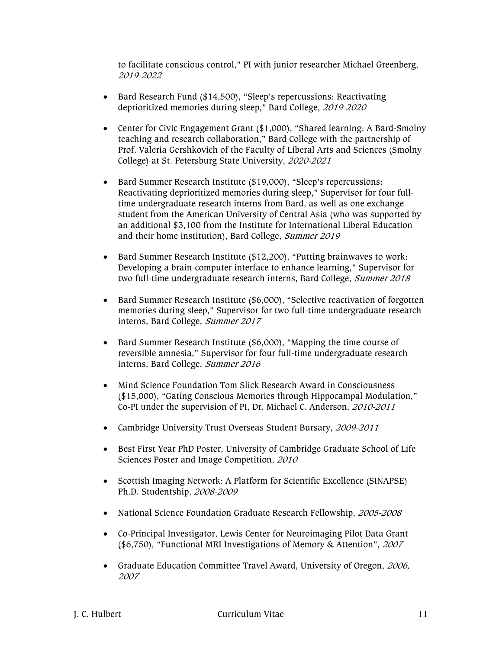to facilitate conscious control," PI with junior researcher Michael Greenberg, 2019-2022

- Bard Research Fund (\$14,500), "Sleep's repercussions: Reactivating deprioritized memories during sleep," Bard College, 2019-2020
- Center for Civic Engagement Grant (\$1,000), "Shared learning: A Bard-Smolny teaching and research collaboration," Bard College with the partnership of Prof. Valeria Gershkovich of the Faculty of Liberal Arts and Sciences (Smolny College) at St. Petersburg State University, 2020-2021
- Bard Summer Research Institute (\$19,000), "Sleep's repercussions: Reactivating deprioritized memories during sleep," Supervisor for four fulltime undergraduate research interns from Bard, as well as one exchange student from the American University of Central Asia (who was supported by an additional \$3,100 from the Institute for International Liberal Education and their home institution), Bard College, Summer 2019
- Bard Summer Research Institute (\$12,200), "Putting brainwaves to work: Developing a brain-computer interface to enhance learning," Supervisor for two full-time undergraduate research interns, Bard College, Summer 2018
- Bard Summer Research Institute (\$6,000), "Selective reactivation of forgotten memories during sleep," Supervisor for two full-time undergraduate research interns, Bard College, Summer 2017
- Bard Summer Research Institute (\$6,000), "Mapping the time course of reversible amnesia," Supervisor for four full-time undergraduate research interns, Bard College, Summer 2016
- Mind Science Foundation Tom Slick Research Award in Consciousness (\$15,000), "Gating Conscious Memories through Hippocampal Modulation," Co-PI under the supervision of PI, Dr. Michael C. Anderson, 2010-2011
- Cambridge University Trust Overseas Student Bursary, 2009-2011
- Best First Year PhD Poster, University of Cambridge Graduate School of Life Sciences Poster and Image Competition, <sup>2010</sup>
- Scottish Imaging Network: A Platform for Scientific Excellence (SINAPSE) Ph.D. Studentship, 2008-2009
- National Science Foundation Graduate Research Fellowship, 2005-2008
- Co-Principal Investigator, Lewis Center for Neuroimaging Pilot Data Grant (\$6,750), "Functional MRI Investigations of Memory & Attention", <sup>2007</sup>
- Graduate Education Committee Travel Award, University of Oregon, 2006, 2007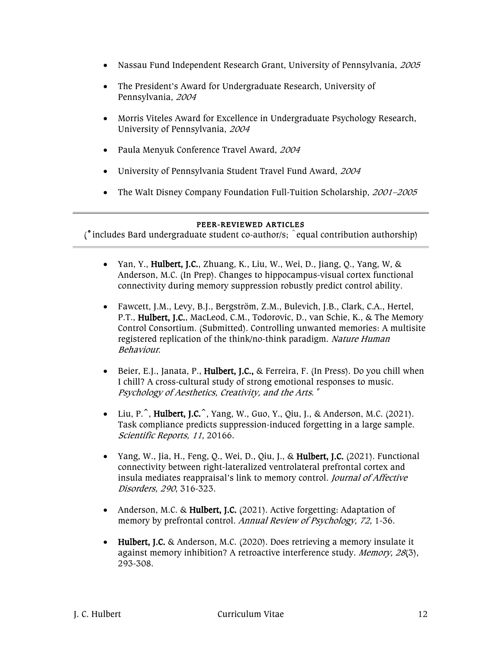- Nassau Fund Independent Research Grant, University of Pennsylvania, 2005
- The President's Award for Undergraduate Research, University of Pennsylvania, <sup>2004</sup>
- Morris Viteles Award for Excellence in Undergraduate Psychology Research, University of Pennsylvania, <sup>2004</sup>
- Paula Menyuk Conference Travel Award, <sup>2004</sup>
- University of Pennsylvania Student Travel Fund Award, <sup>2004</sup>
- The Walt Disney Company Foundation Full-Tuition Scholarship, 2001–2005

#### PEER-REVIEWED ARTICLES

 $\int$  includes Bard undergraduate student co-author/s;  $\hat{ }$  equal contribution authorship)

- Yan, Y., Hulbert, J.C., Zhuang, K., Liu, W., Wei, D., Jiang, Q., Yang, W, & Anderson, M.C. (In Prep). Changes to hippocampus-visual cortex functional connectivity during memory suppression robustly predict control ability.
- Fawcett, J.M., Levy, B.J., Bergström, Z.M., Bulevich, J.B., Clark, C.A., Hertel, P.T., Hulbert, J.C., MacLeod, C.M., Todorovic, D., van Schie, K., & The Memory Control Consortium. (Submitted). Controlling unwanted memories: A multisite registered replication of the think/no-think paradigm. Nature Human Behaviour.
- Beier, E.J., Janata, P., Hulbert, J.C., & Ferreira, F. (In Press). Do you chill when I chill? A cross-cultural study of strong emotional responses to music. Psychology of Aesthetics, Creativity, and the Arts.<sup>°</sup>
- Liu, P. $\hat{ }$ , Hulbert, J.C. $\hat{ }$ , Yang, W., Guo, Y., Qiu, J., & Anderson, M.C. (2021). Task compliance predicts suppression-induced forgetting in a large sample. Scientific Reports, 11, 20166.
- Yang, W., Jia, H., Feng, Q., Wei, D., Qiu, J., & Hulbert, J.C. (2021). Functional connectivity between right-lateralized ventrolateral prefrontal cortex and insula mediates reappraisal's link to memory control. Journal of Affective Disorders, 290, 316-323.
- Anderson, M.C. & Hulbert, J.C. (2021). Active forgetting: Adaptation of memory by prefrontal control. Annual Review of Psychology, 72, 1-36.
- Hulbert, J.C. & Anderson, M.C. (2020). Does retrieving a memory insulate it against memory inhibition? A retroactive interference study. Memory, 28(3), 293-308.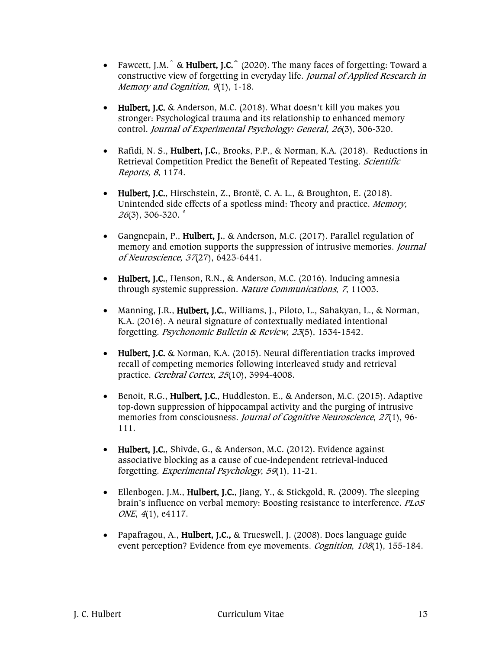- Fawcett, J.M. $\hat{ }$  & Hulbert, J.C. $\hat{ }$  (2020). The many faces of forgetting: Toward a constructive view of forgetting in everyday life. Journal of Applied Research in Memory and Cognition, 9(1), 1-18.
- Hulbert, J.C. & Anderson, M.C. (2018). What doesn't kill you makes you stronger: Psychological trauma and its relationship to enhanced memory control. Journal of Experimental Psychology: General, 26(3), 306-320.
- Rafidi, N. S., Hulbert, J.C., Brooks, P.P., & Norman, K.A. (2018). Reductions in Retrieval Competition Predict the Benefit of Repeated Testing. Scientific Reports, 8, 1174.
- Hulbert, J.C., Hirschstein, Z., Brontë, C. A. L., & Broughton, E. (2018). Unintended side effects of a spotless mind: Theory and practice. Memory,  $26(3)$ , 306-320. $\degree$
- Gangnepain, P., Hulbert, J., & Anderson, M.C. (2017). Parallel regulation of memory and emotion supports the suppression of intrusive memories. *Journal* of Neuroscience, 37(27), 6423-6441.
- Hulbert, J.C., Henson, R.N., & Anderson, M.C. (2016). Inducing amnesia through systemic suppression. Nature Communications, 7, 11003.
- Manning, J.R., Hulbert, J.C., Williams, J., Piloto, L., Sahakyan, L., & Norman, K.A. (2016). A neural signature of contextually mediated intentional forgetting. Psychonomic Bulletin & Review, 23(5), 1534-1542.
- Hulbert, J.C. & Norman, K.A. (2015). Neural differentiation tracks improved recall of competing memories following interleaved study and retrieval practice. Cerebral Cortex, 25(10), 3994-4008.
- Benoit, R.G., Hulbert, J.C., Huddleston, E., & Anderson, M.C. (2015). Adaptive top-down suppression of hippocampal activity and the purging of intrusive memories from consciousness. Journal of Cognitive Neuroscience, 27(1), 96-111.
- Hulbert, J.C., Shivde, G., & Anderson, M.C. (2012). Evidence against associative blocking as a cause of cue-independent retrieval-induced forgetting. Experimental Psychology, 59(1), 11-21.
- Ellenbogen, J.M., **Hulbert, J.C.**, Jiang, Y., & Stickgold, R. (2009). The sleeping brain's influence on verbal memory: Boosting resistance to interference. PLoS ONE, 4(1), e4117.
- Papafragou, A., Hulbert, J.C., & Trueswell, J. (2008). Does language guide event perception? Evidence from eye movements. *Cognition*, 108(1), 155-184.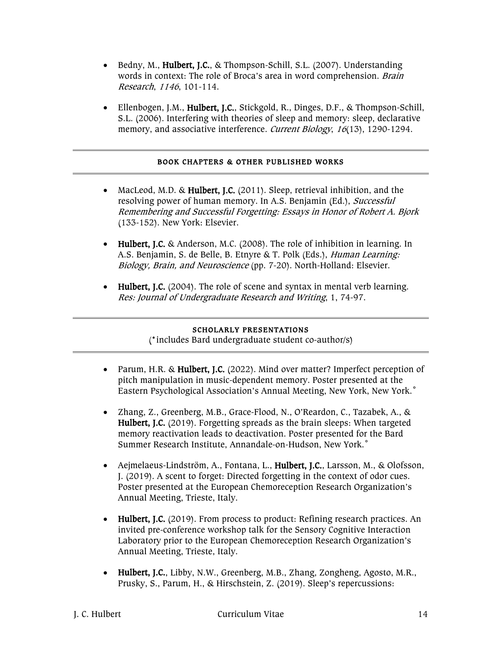- Bedny, M., Hulbert, J.C., & Thompson-Schill, S.L. (2007). Understanding words in context: The role of Broca's area in word comprehension. Brain Research, 1146, 101-114.
- Ellenbogen, J.M., Hulbert, J.C., Stickgold, R., Dinges, D.F., & Thompson-Schill, S.L. (2006). Interfering with theories of sleep and memory: sleep, declarative memory, and associative interference. *Current Biology*, 16(13), 1290-1294.

#### BOOK CHAPTERS & OTHER PUBLISHED WORKS

- MacLeod, M.D. & Hulbert, J.C. (2011). Sleep, retrieval inhibition, and the resolving power of human memory. In A.S. Benjamin (Ed.), Successful Remembering and Successful Forgetting: Essays in Honor of Robert A. Bjork (133-152). New York: Elsevier.
- Hulbert, J.C. & Anderson, M.C. (2008). The role of inhibition in learning. In A.S. Benjamin, S. de Belle, B. Etnyre & T. Polk (Eds.), Human Learning: Biology, Brain, and Neuroscience (pp. 7-20). North-Holland: Elsevier.
- Hulbert, J.C. (2004). The role of scene and syntax in mental verb learning. Res: Journal of Undergraduate Research and Writing, 1, 74-97.

# SCHOLARLY PRESENTATIONS

(˚includes Bard undergraduate student co-author/s)

- Parum, H.R. & Hulbert, J.C. (2022). Mind over matter? Imperfect perception of pitch manipulation in music-dependent memory. Poster presented at the Eastern Psychological Association's Annual Meeting, New York, New York.˚
- Zhang, Z., Greenberg, M.B., Grace-Flood, N., O'Reardon, C., Tazabek, A., & Hulbert, J.C. (2019). Forgetting spreads as the brain sleeps: When targeted memory reactivation leads to deactivation. Poster presented for the Bard Summer Research Institute, Annandale-on-Hudson, New York.˚
- Aejmelaeus-Lindström, A., Fontana, L., Hulbert, J.C., Larsson, M., & Olofsson, J. (2019). A scent to forget: Directed forgetting in the context of odor cues. Poster presented at the European Chemoreception Research Organization's Annual Meeting, Trieste, Italy.
- Hulbert, J.C. (2019). From process to product: Refining research practices. An invited pre-conference workshop talk for the Sensory Cognitive Interaction Laboratory prior to the European Chemoreception Research Organization's Annual Meeting, Trieste, Italy.
- Hulbert, J.C., Libby, N.W., Greenberg, M.B., Zhang, Zongheng, Agosto, M.R., Prusky, S., Parum, H., & Hirschstein, Z. (2019). Sleep's repercussions: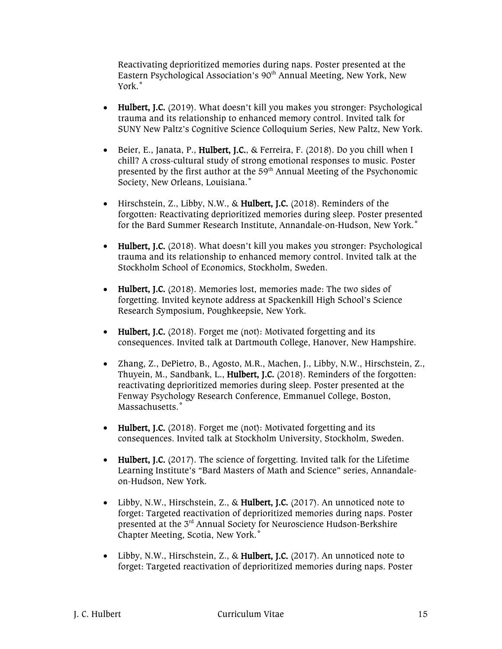Reactivating deprioritized memories during naps. Poster presented at the Eastern Psychological Association's 90<sup>th</sup> Annual Meeting, New York, New York.˚

- Hulbert, J.C. (2019). What doesn't kill you makes you stronger: Psychological trauma and its relationship to enhanced memory control. Invited talk for SUNY New Paltz's Cognitive Science Colloquium Series, New Paltz, New York.
- Beier, E., Janata, P., Hulbert, J.C., & Ferreira, F. (2018). Do you chill when I chill? A cross-cultural study of strong emotional responses to music. Poster presented by the first author at the  $59<sup>th</sup>$  Annual Meeting of the Psychonomic Society, New Orleans, Louisiana.˚
- Hirschstein, Z., Libby, N.W., & Hulbert, J.C. (2018). Reminders of the forgotten: Reactivating deprioritized memories during sleep. Poster presented for the Bard Summer Research Institute, Annandale-on-Hudson, New York.˚
- Hulbert, J.C. (2018). What doesn't kill you makes you stronger: Psychological trauma and its relationship to enhanced memory control. Invited talk at the Stockholm School of Economics, Stockholm, Sweden.
- Hulbert, J.C. (2018). Memories lost, memories made: The two sides of forgetting. Invited keynote address at Spackenkill High School's Science Research Symposium, Poughkeepsie, New York.
- Hulbert, J.C. (2018). Forget me (not): Motivated forgetting and its consequences. Invited talk at Dartmouth College, Hanover, New Hampshire.
- Zhang, Z., DePietro, B., Agosto, M.R., Machen, J., Libby, N.W., Hirschstein, Z., Thuyein, M., Sandbank, L., Hulbert, J.C. (2018). Reminders of the forgotten: reactivating deprioritized memories during sleep. Poster presented at the Fenway Psychology Research Conference, Emmanuel College, Boston, Massachusetts.˚
- Hulbert, J.C. (2018). Forget me (not): Motivated forgetting and its consequences. Invited talk at Stockholm University, Stockholm, Sweden.
- Hulbert, J.C. (2017). The science of forgetting. Invited talk for the Lifetime Learning Institute's "Bard Masters of Math and Science" series, Annandaleon-Hudson, New York.
- Libby, N.W., Hirschstein, Z., & Hulbert, J.C. (2017). An unnoticed note to forget: Targeted reactivation of deprioritized memories during naps. Poster presented at the 3rd Annual Society for Neuroscience Hudson-Berkshire Chapter Meeting, Scotia, New York.˚
- Libby, N.W., Hirschstein, Z., & Hulbert, J.C. (2017). An unnoticed note to forget: Targeted reactivation of deprioritized memories during naps. Poster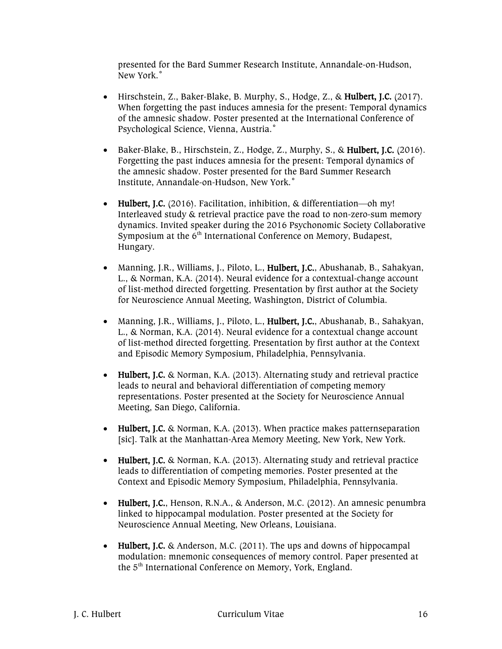presented for the Bard Summer Research Institute, Annandale-on-Hudson, New York.˚

- Hirschstein, Z., Baker-Blake, B. Murphy, S., Hodge, Z., & Hulbert, J.C. (2017). When forgetting the past induces amnesia for the present: Temporal dynamics of the amnesic shadow. Poster presented at the International Conference of Psychological Science, Vienna, Austria.˚
- Baker-Blake, B., Hirschstein, Z., Hodge, Z., Murphy, S., & Hulbert, J.C. (2016). Forgetting the past induces amnesia for the present: Temporal dynamics of the amnesic shadow. Poster presented for the Bard Summer Research Institute, Annandale-on-Hudson, New York.˚
- Hulbert, J.C. (2016). Facilitation, inhibition, & differentiation—oh my! Interleaved study & retrieval practice pave the road to non-zero-sum memory dynamics. Invited speaker during the 2016 Psychonomic Society Collaborative Symposium at the  $6<sup>th</sup>$  International Conference on Memory, Budapest, Hungary.
- Manning, J.R., Williams, J., Piloto, L., Hulbert, J.C., Abushanab, B., Sahakyan, L., & Norman, K.A. (2014). Neural evidence for a contextual-change account of list-method directed forgetting. Presentation by first author at the Society for Neuroscience Annual Meeting, Washington, District of Columbia.
- Manning, J.R., Williams, J., Piloto, L., Hulbert, J.C., Abushanab, B., Sahakyan, L., & Norman, K.A. (2014). Neural evidence for a contextual change account of list-method directed forgetting. Presentation by first author at the Context and Episodic Memory Symposium, Philadelphia, Pennsylvania.
- Hulbert, J.C. & Norman, K.A. (2013). Alternating study and retrieval practice leads to neural and behavioral differentiation of competing memory representations. Poster presented at the Society for Neuroscience Annual Meeting, San Diego, California.
- Hulbert, J.C. & Norman, K.A. (2013). When practice makes patternseparation [sic]. Talk at the Manhattan-Area Memory Meeting, New York, New York.
- Hulbert, J.C. & Norman, K.A. (2013). Alternating study and retrieval practice leads to differentiation of competing memories. Poster presented at the Context and Episodic Memory Symposium, Philadelphia, Pennsylvania.
- Hulbert, J.C., Henson, R.N.A., & Anderson, M.C. (2012). An amnesic penumbra linked to hippocampal modulation. Poster presented at the Society for Neuroscience Annual Meeting, New Orleans, Louisiana.
- Hulbert, J.C. & Anderson, M.C. (2011). The ups and downs of hippocampal modulation: mnemonic consequences of memory control. Paper presented at the 5<sup>th</sup> International Conference on Memory, York, England.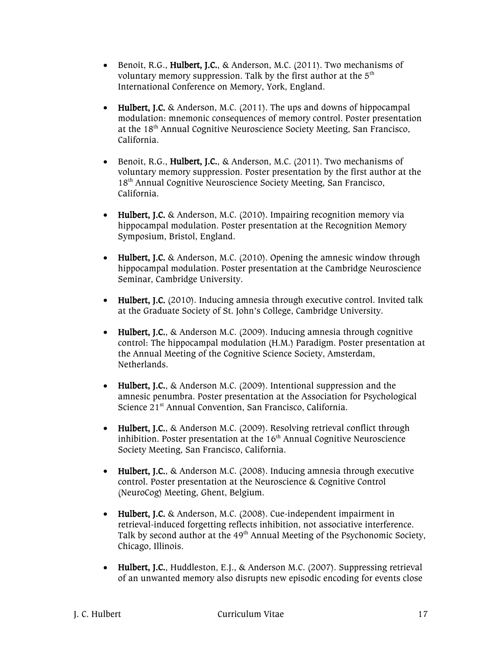- Benoit, R.G., Hulbert, J.C., & Anderson, M.C. (2011). Two mechanisms of voluntary memory suppression. Talk by the first author at the  $5<sup>th</sup>$ International Conference on Memory, York, England.
- Hulbert, J.C. & Anderson, M.C. (2011). The ups and downs of hippocampal modulation: mnemonic consequences of memory control. Poster presentation at the 18th Annual Cognitive Neuroscience Society Meeting, San Francisco, California.
- Benoit, R.G., Hulbert, J.C., & Anderson, M.C. (2011). Two mechanisms of voluntary memory suppression. Poster presentation by the first author at the 18th Annual Cognitive Neuroscience Society Meeting, San Francisco, California.
- Hulbert, J.C. & Anderson, M.C. (2010). Impairing recognition memory via hippocampal modulation. Poster presentation at the Recognition Memory Symposium, Bristol, England.
- Hulbert, J.C. & Anderson, M.C. (2010). Opening the amnesic window through hippocampal modulation. Poster presentation at the Cambridge Neuroscience Seminar, Cambridge University.
- Hulbert, J.C. (2010). Inducing amnesia through executive control. Invited talk at the Graduate Society of St. John's College, Cambridge University.
- Hulbert, J.C., & Anderson M.C. (2009). Inducing amnesia through cognitive control: The hippocampal modulation (H.M.) Paradigm. Poster presentation at the Annual Meeting of the Cognitive Science Society, Amsterdam, Netherlands.
- Hulbert, J.C., & Anderson M.C. (2009). Intentional suppression and the amnesic penumbra. Poster presentation at the Association for Psychological Science 21<sup>st</sup> Annual Convention, San Francisco, California.
- Hulbert, J.C., & Anderson M.C. (2009). Resolving retrieval conflict through inhibition. Poster presentation at the  $16<sup>th</sup>$  Annual Cognitive Neuroscience Society Meeting, San Francisco, California.
- Hulbert, J.C., & Anderson M.C. (2008). Inducing amnesia through executive control. Poster presentation at the Neuroscience & Cognitive Control (NeuroCog) Meeting, Ghent, Belgium.
- Hulbert, J.C. & Anderson, M.C. (2008). Cue-independent impairment in retrieval-induced forgetting reflects inhibition, not associative interference. Talk by second author at the 49<sup>th</sup> Annual Meeting of the Psychonomic Society, Chicago, Illinois.
- Hulbert, J.C., Huddleston, E.J., & Anderson M.C. (2007). Suppressing retrieval of an unwanted memory also disrupts new episodic encoding for events close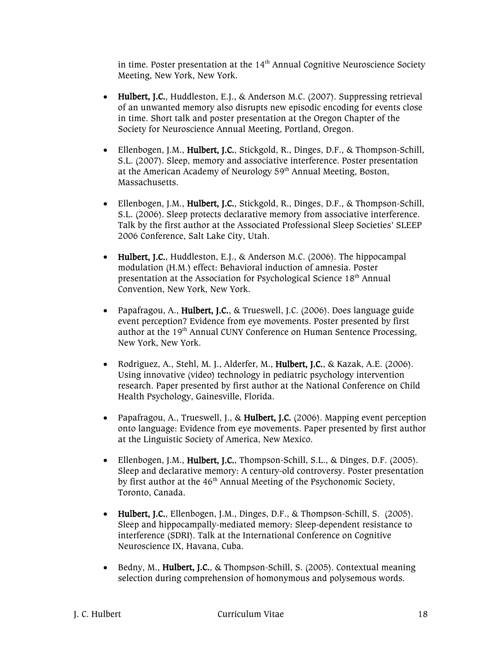in time. Poster presentation at the  $14<sup>th</sup>$  Annual Cognitive Neuroscience Society Meeting, New York, New York.

- Hulbert, J.C., Huddleston, E.J., & Anderson M.C. (2007). Suppressing retrieval of an unwanted memory also disrupts new episodic encoding for events close in time. Short talk and poster presentation at the Oregon Chapter of the Society for Neuroscience Annual Meeting, Portland, Oregon.
- Ellenbogen, J.M., Hulbert, J.C., Stickgold, R., Dinges, D.F., & Thompson-Schill, S.L. (2007). Sleep, memory and associative interference. Poster presentation at the American Academy of Neurology 59<sup>th</sup> Annual Meeting, Boston, Massachusetts.
- Ellenbogen, J.M., Hulbert, J.C., Stickgold, R., Dinges, D.F., & Thompson-Schill, S.L. (2006). Sleep protects declarative memory from associative interference. Talk by the first author at the Associated Professional Sleep Societies' SLEEP 2006 Conference, Salt Lake City, Utah.
- Hulbert, J.C., Huddleston, E.J., & Anderson M.C. (2006). The hippocampal modulation (H.M.) effect: Behavioral induction of amnesia. Poster presentation at the Association for Psychological Science 18<sup>th</sup> Annual Convention, New York, New York.
- Papafragou, A., Hulbert, J.C., & Trueswell, J.C. (2006). Does language guide event perception? Evidence from eye movements. Poster presented by first author at the 19<sup>th</sup> Annual CUNY Conference on Human Sentence Processing, New York, New York.
- Rodriguez, A., Stehl, M. J., Alderfer, M., Hulbert, J.C., & Kazak, A.E. (2006). Using innovative (video) technology in pediatric psychology intervention research. Paper presented by first author at the National Conference on Child Health Psychology, Gainesville, Florida.
- Papafragou, A., Trueswell, J., & Hulbert, J.C. (2006). Mapping event perception onto language: Evidence from eye movements. Paper presented by first author at the Linguistic Society of America, New Mexico.
- Ellenbogen, J.M., Hulbert, J.C., Thompson-Schill, S.L., & Dinges, D.F. (2005). Sleep and declarative memory: A century-old controversy. Poster presentation by first author at the  $46<sup>th</sup>$  Annual Meeting of the Psychonomic Society, Toronto, Canada.
- Hulbert, J.C., Ellenbogen, J.M., Dinges, D.F., & Thompson-Schill, S. (2005). Sleep and hippocampally-mediated memory: Sleep-dependent resistance to interference (SDRI). Talk at the International Conference on Cognitive Neuroscience IX, Havana, Cuba.
- Bedny, M., Hulbert, J.C., & Thompson-Schill, S. (2005). Contextual meaning selection during comprehension of homonymous and polysemous words.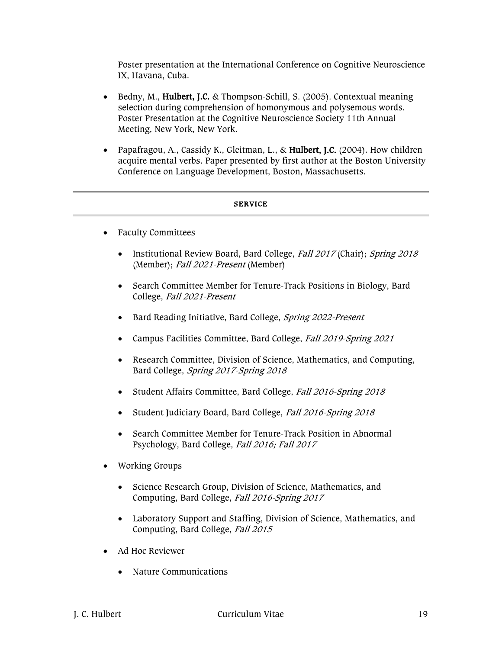Poster presentation at the International Conference on Cognitive Neuroscience IX, Havana, Cuba.

- Bedny, M., Hulbert, J.C. & Thompson-Schill, S. (2005). Contextual meaning selection during comprehension of homonymous and polysemous words. Poster Presentation at the Cognitive Neuroscience Society 11th Annual Meeting, New York, New York.
- Papafragou, A., Cassidy K., Gleitman, L., & Hulbert, J.C. (2004). How children acquire mental verbs. Paper presented by first author at the Boston University Conference on Language Development, Boston, Massachusetts.

#### SERVICE

- Faculty Committees
	- Institutional Review Board, Bard College, Fall 2017 (Chair); Spring 2018 (Member); Fall 2021-Present (Member)
	- Search Committee Member for Tenure-Track Positions in Biology, Bard College, Fall 2021-Present
	- Bard Reading Initiative, Bard College, Spring 2022-Present
	- Campus Facilities Committee, Bard College, Fall 2019-Spring 2021
	- Research Committee, Division of Science, Mathematics, and Computing, Bard College, Spring 2017-Spring 2018
	- Student Affairs Committee, Bard College, Fall 2016-Spring 2018
	- Student Judiciary Board, Bard College, Fall 2016-Spring 2018
	- Search Committee Member for Tenure-Track Position in Abnormal Psychology, Bard College, Fall 2016; Fall 2017
- Working Groups
	- Science Research Group, Division of Science, Mathematics, and Computing, Bard College, Fall 2016-Spring 2017
	- Laboratory Support and Staffing, Division of Science, Mathematics, and Computing, Bard College, Fall <sup>2015</sup>
- Ad Hoc Reviewer
	- Nature Communications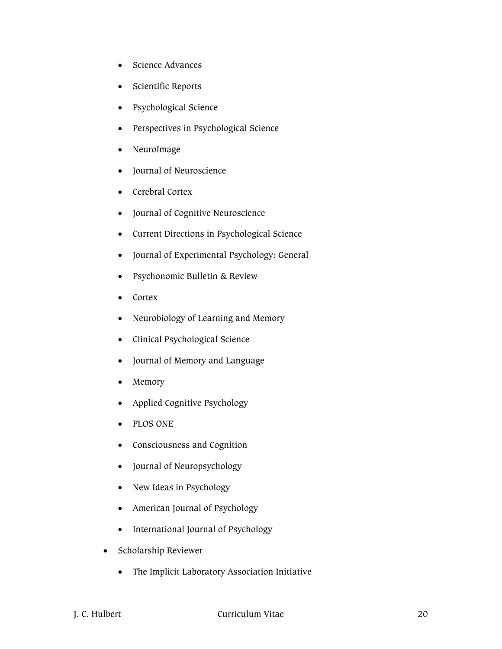- Science Advances
- Scientific Reports
- Psychological Science
- Perspectives in Psychological Science
- NeuroImage
- Journal of Neuroscience
- Cerebral Cortex
- Journal of Cognitive Neuroscience
- Current Directions in Psychological Science
- Journal of Experimental Psychology: General
- Psychonomic Bulletin & Review
- Cortex
- Neurobiology of Learning and Memory
- Clinical Psychological Science
- Journal of Memory and Language
- Memory
- Applied Cognitive Psychology
- PLOS ONE
- Consciousness and Cognition
- Journal of Neuropsychology
- New Ideas in Psychology
- American Journal of Psychology
- International Journal of Psychology
- Scholarship Reviewer
	- The Implicit Laboratory Association Initiative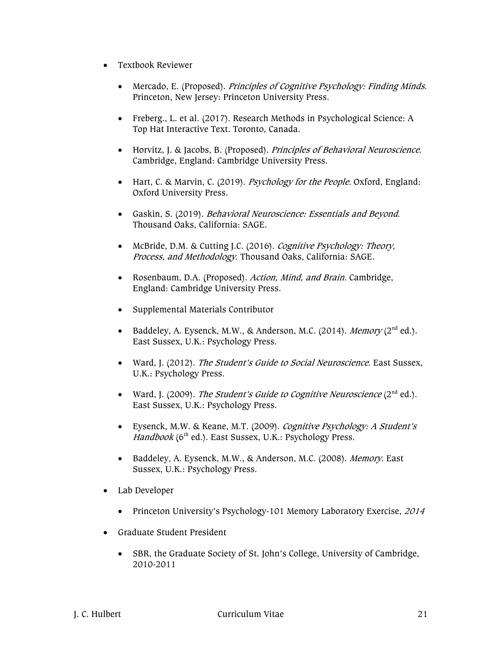- Textbook Reviewer
	- Mercado, E. (Proposed). Principles of Cognitive Psychology: Finding Minds. Princeton, New Jersey: Princeton University Press.
	- Freberg., L. et al. (2017). Research Methods in Psychological Science: A Top Hat Interactive Text. Toronto, Canada.
	- Horvitz, J. & Jacobs, B. (Proposed). Principles of Behavioral Neuroscience. Cambridge, England: Cambridge University Press.
	- Hart, C. & Marvin, C. (2019). Psychology for the People. Oxford, England: Oxford University Press.
	- Gaskin, S. (2019). Behavioral Neuroscience: Essentials and Beyond. Thousand Oaks, California: SAGE.
	- McBride, D.M. & Cutting J.C. (2016). Cognitive Psychology: Theory, Process, and Methodology. Thousand Oaks, California: SAGE.
	- Rosenbaum, D.A. (Proposed). Action, Mind, and Brain. Cambridge, England: Cambridge University Press.
	- Supplemental Materials Contributor
	- Baddeley, A. Eysenck, M.W., & Anderson, M.C. (2014). *Memory* (2<sup>nd</sup> ed.). East Sussex, U.K.: Psychology Press.
	- Ward, J. (2012). The Student's Guide to Social Neuroscience. East Sussex, U.K.: Psychology Press.
	- Ward, J. (2009). The Student's Guide to Cognitive Neuroscience  $(2^{nd}$  ed.). East Sussex, U.K.: Psychology Press.
	- Eysenck, M.W. & Keane, M.T. (2009). Cognitive Psychology: A Student's  $H$ andbook (6<sup>th</sup> ed.). East Sussex, U.K.: Psychology Press.
	- Baddeley, A. Eysenck, M.W., & Anderson, M.C. (2008). Memory. East Sussex, U.K.: Psychology Press.
- Lab Developer
	- Princeton University's Psychology-101 Memory Laboratory Exercise, 2014
- Graduate Student President
	- SBR, the Graduate Society of St. John's College, University of Cambridge, 2010-2011